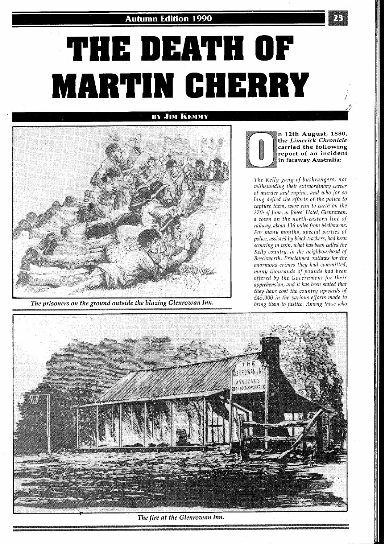## **THE DEATH OF MARTIN CHERRY** ;

**BY JIM KEMMY** 



The prisoners on the ground outside the blazing Glenrowan Inn.



**n 12th August, 1880, the** *Limerick Chronicle*  **carried the following report of an incident in faraway Australia:** 

*The Kelly gang of bushrangers, not withstanding their extraordinary career of murder and rapine, and who for so long defied the efforts of the police to capture them, were run to earth on the 27th of June, at Jones' Hotel, Glenrowan, a town on the north-eastern line of railway, about 136 miles from Melbourne. For many months, special parties of police, assisted by black trackers, had been scouring in vain, what has been called the Kelly country, in the neighbourhood of Beechworth. Proclaimed outlaws for the enormous crimes they had committed, many thousands of pounds had been offered by the Government for their apprehension, and it has been stated that they have cost the country upwards of £45,000 in the various efforts made to bring them to justice. Among those who* 



*The fire at the Glenrowan Inn.*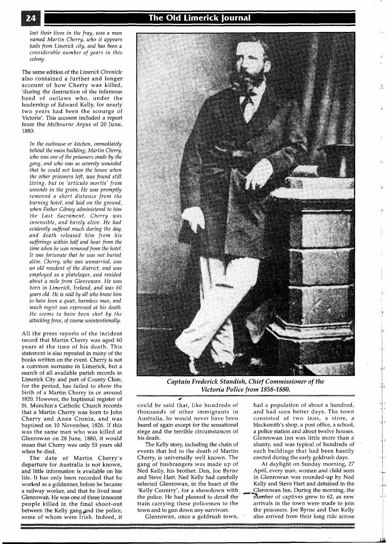*lost their lives in the fray, was a man named Martin Cherry, who it appears hails from Limerick city, and has been a considerable number of years in this colony.* 

The same edition of the *Limerick Chronicle*  also contained a further and longer account of how Cherry was killed, 'during the destruction of the infamous band of outlaws who, under the leadership of Edward Kelly, for nearly two years had been the scourge of Victoria'. This account included a report from the *Melbourne Argus* of 20 June, 1880:

*In the outhouse or kitchen, immediately behind the main building, Martin Chery, who was one of the prisoners made by the gang, and who was so severely wounded that he could not leave the house when the other prisoners left, was found still living, but in 'articulo mortis' from wounds in the groin. He was promptly removed a short distance from the burning hotel, and laid on the ground, when Father Gibney administered to him the Last Sacrament. Cherry was insensible, and barely alive. He had evidently suffered much during the day, and death released him from his sufferings within half and hour from the time when he was removed from the hotel. It was fortunate that he was not buried alive. Cherry, who was unmarried, was an old resident of the district, and was employed as a platelayer, and resided about a mile from Glenrowan. He was born in Limerick, Ireland, and was 60 years old. He is said by all who knew him to have been a quiet, harmless man, and much regret was expressed at his death. He seems to have been shot by the attacking force, of course unintentionally.* 

All the press reports of the incident record that Martin Cherry was aged 60 years at the time of his death. This statement is also repeated in many of the books written on the event. Cherry is not a common surname in Limerick, but a search of all available parish records in Limerick City and part of County Clare, for the period, has failed to show the birth of a Martin Cherry in or around 1820. However, the baptismal register of St. Munchin's Catholic Church records that a Martin Cherry was born to John Cherry and Anne Cronin, and was baptised on 10 November, 1826. If this was the same man who was killed at Glenrowan on 28 June, 1880, it would mean that Cherry was only **53** years old when he died.

The date of Martin Cherry's departure for Australia is not known, and little information is available on his life. It has only been recorded that he worked as a goldminer, before he became a railway worker, and that he lived near Glenrowah. He was one of three innocent people killed in the final shoot-out between the Kelly gang and the police, some of whom were Irish. Indeed, it



*Captain Frederick Standish, Chief Commissioner of the Victoria Police from 1858-1880.* 

could be said that, like hundreds of had a population of about a hundred, thousands of other immigrants in and had seen better days. The town Australia, he would never have been consisted of two inns, a store, a heard of again except for the sensational siege and the terrible circumstances of his death.

The Kelly story, including the chain of events that led to the death of Martin Cherry, is universally well known. The gang of bushrangers was made up of Ned Kelly, his brother, Dan, Joe Byrne and Steve Hart. Ned Kelly had carefully selected Glenrowan, in the heart of the 'Kelly Country', for a showdown with the police. He had planned to derail the train carrying these policemen to the town and to gun down any survivors.

Glenrowan, once a goldrush town,

and had seen better days. The town blacksmith's shop, a post office, a school, a police station and about twelve houses. Glenrowan Inn was little more than a shanty, and was typical of hundreds of such buildings that had been hastily erected during the early goldrush days.

At daylight on Sunday morning, 27 April, every man, woman and child seen in Glenrowan was rounded-up by Ned Kelly and Steve Hart and detained in the Glenrowan Inn. During the morning, the >mber of captives grew to 62, as new arrivals in the town were made to join the prisoners. Joe Byrne and Dan Kelly also arrived from their long ride across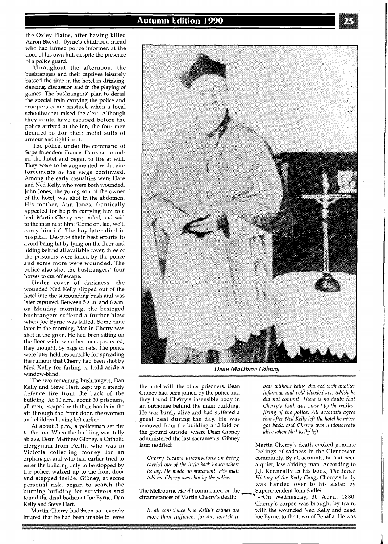the Oxley Plains, after having killed Aaron Skevitt, Byrne's childhood friend who had turned police informer, at the door of his own hut, despite the presence of a police guard.

Throughout the afternoon, the bushrangers and their captives leisurely passed the time in the hotel in drinking, dancing, discussion and in the playing of games. The bushrangers' plan to derail the special train carrying the police and troopers came unstuck when a local schoolteacher raised the alert. Although they could have escaped before the police arrived at the inn, the four men decided to don their metal suits of armour and fight it out.

The police, under the command of Superintendent Francis Hare, surrounded the hotel and began to fire at will. They were to be augmented with reinforcements as the siege continued. Among the early casualties were Hare and Ned Kelly, who were both wounded. John Jones, the young son of the owner of the hotel, was shot in the abdomen. His mother, Ann Jones, frantically appealed for help in carrying him to a bed. Martin Cherry responded, and said to the man near him: 'Come on, lad, we'll carry him in'. The boy later died in hospital. Despite their best efforts to avoid being hit by lying on the floor and hiding behind all available cover, three of the prisoners were killed by the police and some more were wounded. The police also shot the bushrangers' four horses to cut off escape.

Under cover of darkness, the wounded Ned Kelly slipped out of the hotel into the surrounding bush and was later captured. Between 5 a.m. and 6 a.m. on Monday morning, the besieged bushrangers suffered a further blow when Joe Byrne was killed. Some time later in the morning, Martin Cherry was shot in the groin. He had been sitting on the floor with two other men, protected, they thought, by bags of oats. The police were later held responsible for spreading the rumour that Cherry had been shot by Ned Kelly for failing to hold aside a window-blind.

The two remaining bushrangers, Dan Kelly and Steve Hart, kept up a steady defence fire from the back of the building. At 10 a.m., about 30 prisoners, all men, escaped with their hands in the air through the front door, the women and children having left earlier.

At about 3 p.m., a policeman set fire to the inn. When the building was fully ablaze, Dean Matthew Gibney, a Catholic clergyman from Perth, who was in Victoria collecting money for an orphanage, and who had earlier tried to enter the building only to be stopped by the police, walked up to the front door and stepped inside. Gibney, at some personal risk, began to search the burning building for survivors and found the dead bodies of Joe Byrne, Dan Kelly and Steve Hart.

Martin Cherry had been so severely injured that he had been unable to leave

*Dean Matthew Gibney.*  the hotel with the other prisoners. Dean *bear without being charged with another* 

Gibney had been joined by the police and *infamous and cold-blooded act, which he* <br>they found Cherry's insensible body in *did not commit. There is no doubt that* they found Chetry's insensible body in *did not commit. There is no doubt hat*  an outhouse behind the mair, building. *Cherry's death was caused by the reckless*  He was barely alive and had suffered a *firing of the police. All accounts agree*  great deal during the day. He was *that after Ned Kelly left the hotel he never* removed from the building and laid on *got back, and Cherry was undoubtedly* removed from the building and laid on *got back, and Cherry was une ground outside, where Dean Gibney alive when Ned Kelly left*. the ground outside, where Dean Gibney administered the last sacraments. Gibney

The Melbourne *Herald* commented on the circumstances of Martin Cherry's death:

Martin Cherry's death evoked genuine feelings of sadness in the Glenrowan *Cherry became unconscious on being* community. By all accounts, he had been *carried out of the little back house where* a quiet, law-abiding man. According to *he lay. He made no statement. His mate* J.J. Kenneally in his book, *The Inner told me Chery was shot by the police. History of the Kelly Gang,* Cherry's body was handed over to his sister by<br>Superintendent John Sadleir.

v<sub>-c</sub>-On Wednesday, 30 April, 1880, Cherry's corpse was brought by train, *In all conscience Ned Kelly's crimes are* with the wounded Ned Kelly and dead *more than sufficient for one wretch to* Joe Byrne, to the town of Benalla. He was